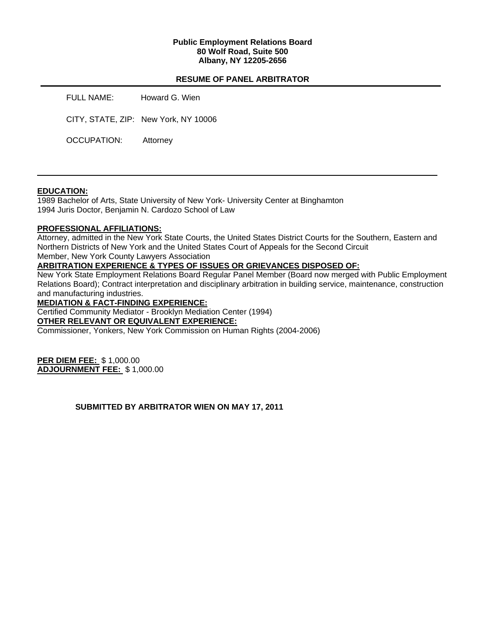### **Public Employment Relations Board 80 Wolf Road, Suite 500 Albany, NY 12205-2656**

# **RESUME OF PANEL ARBITRATOR**

FULL NAME: Howard G. Wien

CITY, STATE, ZIP: New York, NY 10006

OCCUPATION: Attorney

### **EDUCATION:**

1989 Bachelor of Arts, State University of New York- University Center at Binghamton 1994 Juris Doctor, Benjamin N. Cardozo School of Law

### **PROFESSIONAL AFFILIATIONS:**

Attorney, admitted in the New York State Courts, the United States District Courts for the Southern, Eastern and Northern Districts of New York and the United States Court of Appeals for the Second Circuit Member, New York County Lawyers Association

### **ARBITRATION EXPERIENCE & TYPES OF ISSUES OR GRIEVANCES DISPOSED OF:**

New York State Employment Relations Board Regular Panel Member (Board now merged with Public Employment Relations Board); Contract interpretation and disciplinary arbitration in building service, maintenance, construction and manufacturing industries.

**MEDIATION & FACT-FINDING EXPERIENCE:** 

Certified Community Mediator - Brooklyn Mediation Center (1994)

**OTHER RELEVANT OR EQUIVALENT EXPERIENCE:** 

Commissioner, Yonkers, New York Commission on Human Rights (2004-2006)

**PER DIEM FEE:** \$ 1,000.00 **ADJOURNMENT FEE:** \$ 1,000.00

# **SUBMITTED BY ARBITRATOR WIEN ON MAY 17, 2011**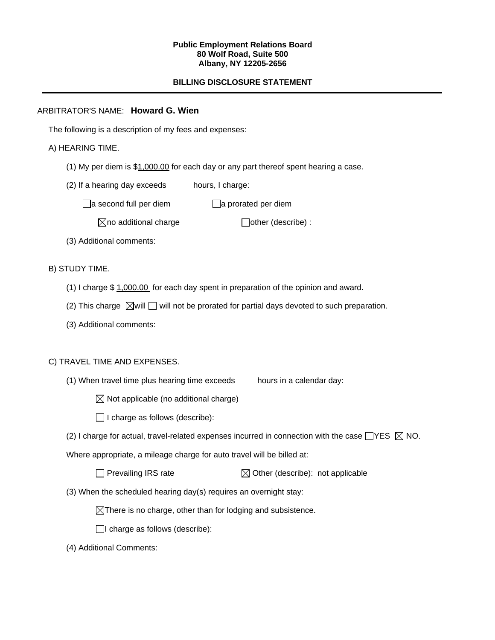#### **Public Employment Relations Board 80 Wolf Road, Suite 500 Albany, NY 12205-2656**

# **BILLING DISCLOSURE STATEMENT**

# ARBITRATOR'S NAME: **Howard G. Wien**

The following is a description of my fees and expenses:

# A) HEARING TIME.

- (1) My per diem is \$1,000.00 for each day or any part thereof spent hearing a case.
- (2) If a hearing day exceeds hours, I charge:

 $\Box$ a second full per diem  $\Box$ a prorated per diem

 $\boxtimes$ no additional charge  $\Box$ other (describe) :

(3) Additional comments:

B) STUDY TIME.

- (1) I charge \$ 1,000.00 for each day spent in preparation of the opinion and award.
- (2) This charge  $\boxtimes$  will  $\Box$  will not be prorated for partial days devoted to such preparation.
- (3) Additional comments:

### C) TRAVEL TIME AND EXPENSES.

- (1) When travel time plus hearing time exceeds hours in a calendar day:
	- $\boxtimes$  Not applicable (no additional charge)
	- $\Box$  I charge as follows (describe):
- (2) I charge for actual, travel-related expenses incurred in connection with the case  $\Box$ YES  $\boxtimes$  NO.

Where appropriate, a mileage charge for auto travel will be billed at:

| $\Box$ Prevailing IRS rate | $\boxtimes$ Other (describe): not applicable |
|----------------------------|----------------------------------------------|
|----------------------------|----------------------------------------------|

(3) When the scheduled hearing day(s) requires an overnight stay:

 $\boxtimes$ There is no charge, other than for lodging and subsistence.

 $\Box$ I charge as follows (describe):

(4) Additional Comments: